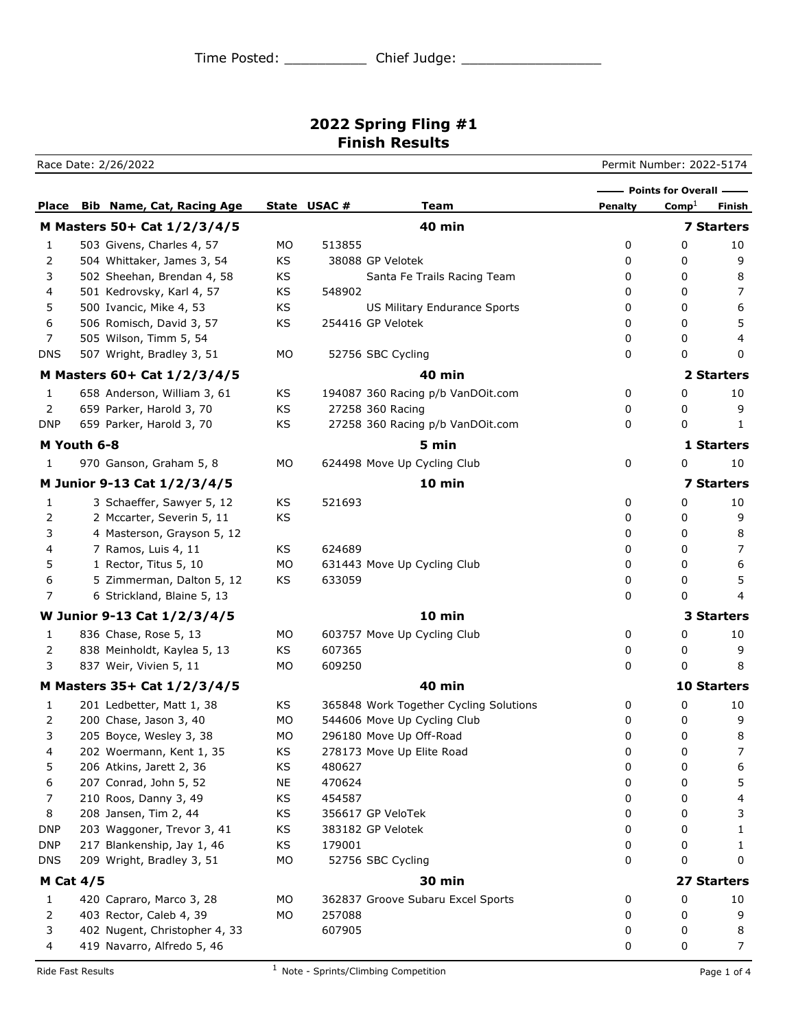Race Date: 2/26/2022 Permit Number: 2022-5174 **Place Bib Name, Cat, Racing Age State USAC # 7 Team Penalty** Comp<sup>1</sup> Finish **Points for Overall – M Masters 50+ Cat 1/2/3/4/5 40 min 7 Starters** 1 503 Givens, Charles 4, 57 MO 513855 0 0 10 2 504 Whittaker, James 3, 54 KS 38088 GP Velotek 0 0 9 3 502 Sheehan, Brendan 4, 58 KS Santa Fe Trails Racing Team 0 0 8 4 501 Kedrovsky, Karl 4, 57 KS 548902 0 0 7 5 500 Ivancic, Mike 4, 53 KS US Military Endurance Sports 0 0 6 6 6 506 Romisch, David 3, 57 KS 254416 GP Velotek 0 0 5 7 505 Wilson, Timm 5, 54 0 0 4 DNS 507 Wright, Bradley 3, 51 MO 52756 SBC Cycling 0 0 0 0 0 **M Masters 60+ Cat 1/2/3/4/5 40 min 2 Starters** 1 658 Anderson, William 3, 61 KS 194087 360 Racing p/b VanDOit.com 0 0 10 2 659 Parker, Harold 3, 70 KS 27258 360 Racing 20 CO 0 9 DNP 659 Parker, Harold 3, 70 KS 27258 360 Racing p/b VanDOit.com 0 0 1 **M Youth 6-8 5 min 1 Starters** 1 970 Ganson, Graham 5, 8 MO 624498 Move Up Cycling Club 0 0 10 **M Junior 9-13 Cat 1/2/3/4/5 10 min 7 Starters** 1 3 Schaeffer, Sawyer 5, 12 KS 521693 0 0 10 2 2 Mccarter, Severin 5, 11 KS 6 2 0 0 9 3 4 Masterson, Grayson 5, 12 and 3 and 3 and 3 and 3 and 3 and 3 and 3 and 3 and 3 and 3 and 3 and 3 and 3 and 3 and 3 and 3 and 3 and 3 and 3 and 3 and 3 and 3 and 3 and 3 and 3 and 3 and 3 and 3 and 3 and 3 and 3 and 3 a 4 7 Ramos, Luis 4, 11 KS 624689 0 0 7 5 1 Rector, Titus 5, 10 MO 631443 Move Up Cycling Club 0 0 6 6 5 Zimmerman, Dalton 5, 12 KS 633059 0 0 5 7 6 Strickland, Blaine 5, 13 0 0 4 **W Junior 9-13 Cat 1/2/3/4/5 10 min 3 Starters** 1 836 Chase, Rose 5, 13 MO 603757 Move Up Cycling Club 0 0 0 10 2 838 Meinholdt, Kaylea 5, 13 KS 607365 0 0 9 3 837 Weir, Vivien 5, 11 MO 609250 0 0 8 **M Masters 35+ Cat 1/2/3/4/5 40 min 10 Starters** 1 201 Ledbetter, Matt 1, 38 KS 365848 Work Together Cycling Solutions 0 0 0 10 2 200 Chase, Jason 3, 40 MO 544606 Move Up Cycling Club 0 0 9 3 205 Boyce, Wesley 3, 38 MO 296180 Move Up Off-Road 0 0 8 4 202 Woermann, Kent 1, 35 KS 278173 Move Up Elite Road 0 0 7 5 206 Atkins, Jarett 2, 36 KS 480627 0 0 6 6 207 Conrad, John 5, 52 NE 470624 0 0 5 7 210 Roos, Danny 3, 49 KS 454587 0 0 4 8 208 Jansen, Tim 2, 44 KS 356617 GP VeloTek 0 0 3 DNP 203 Waggoner, Trevor 3, 41 KS 383182 GP Velotek 0 0 1 DNP 217 Blankenship, Jay 1, 46 KS 179001 0 0 1 DNS 209 Wright, Bradley 3, 51 MO 52756 SBC Cycling 0 0 0 0 0 0 **M Cat 4/5 30 min 27 Starters** 1 420 Capraro, Marco 3, 28 MO 362837 Groove Subaru Excel Sports 0 0 10 2 403 Rector, Caleb 4, 39 MO 257088 0 0 9 3 402 Nugent, Christopher 4, 33 607905 0 0 8 4 419 Navarro, Alfredo 5, 46 0 0 7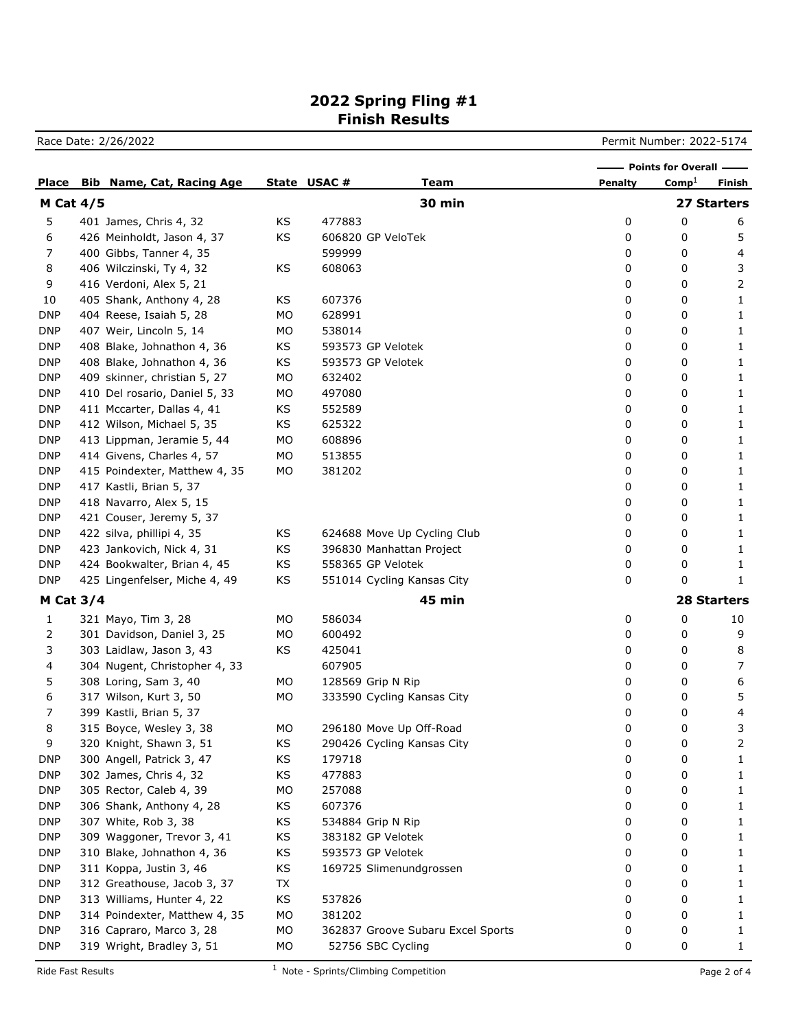|  |  |  |  | Permit Number: 2022-5174 |
|--|--|--|--|--------------------------|
|--|--|--|--|--------------------------|

|                  |  |                                  |           |             | - Points for Overall -            |         |                   |                    |
|------------------|--|----------------------------------|-----------|-------------|-----------------------------------|---------|-------------------|--------------------|
| Place            |  | <b>Bib Name, Cat, Racing Age</b> |           | State USAC# | <b>Team</b>                       | Penalty | Comp <sup>1</sup> | Finish             |
| <b>M Cat 4/5</b> |  |                                  |           |             | <b>30 min</b>                     |         |                   | 27 Starters        |
| 5                |  | 401 James, Chris 4, 32           | KS        | 477883      |                                   | 0       | 0                 | 6                  |
| 6                |  | 426 Meinholdt, Jason 4, 37       | KS        |             | 606820 GP VeloTek                 | 0       | 0                 | 5                  |
| 7                |  | 400 Gibbs, Tanner 4, 35          |           | 599999      |                                   | 0       | 0                 | 4                  |
| 8                |  | 406 Wilczinski, Ty 4, 32         | KS        | 608063      |                                   | 0       | 0                 | 3                  |
| 9                |  | 416 Verdoni, Alex 5, 21          |           |             |                                   | 0       | 0                 | 2                  |
| 10               |  | 405 Shank, Anthony 4, 28         | KS        | 607376      |                                   | 0       | 0                 | 1                  |
| <b>DNP</b>       |  | 404 Reese, Isaiah 5, 28          | МO        | 628991      |                                   | 0       | 0                 | 1                  |
| <b>DNP</b>       |  | 407 Weir, Lincoln 5, 14          | MO        | 538014      |                                   | 0       | 0                 | 1                  |
| <b>DNP</b>       |  | 408 Blake, Johnathon 4, 36       | KS        |             | 593573 GP Velotek                 | 0       | 0                 | 1                  |
| <b>DNP</b>       |  | 408 Blake, Johnathon 4, 36       | KS        |             | 593573 GP Velotek                 | 0       | 0                 | 1                  |
| <b>DNP</b>       |  | 409 skinner, christian 5, 27     | MO        | 632402      |                                   | 0       | 0                 | 1                  |
| <b>DNP</b>       |  | 410 Del rosario, Daniel 5, 33    | MO        | 497080      |                                   | 0       | 0                 | 1                  |
| <b>DNP</b>       |  | 411 Mccarter, Dallas 4, 41       | KS        | 552589      |                                   | 0       | 0                 | 1                  |
| <b>DNP</b>       |  | 412 Wilson, Michael 5, 35        | KS        | 625322      |                                   | 0       | 0                 | 1                  |
| <b>DNP</b>       |  | 413 Lippman, Jeramie 5, 44       | MO        | 608896      |                                   | 0       | 0                 | 1                  |
| <b>DNP</b>       |  | 414 Givens, Charles 4, 57        | МO        | 513855      |                                   | 0       | 0                 | 1                  |
| <b>DNP</b>       |  | 415 Poindexter, Matthew 4, 35    | MO        | 381202      |                                   | 0       | 0                 | 1                  |
| <b>DNP</b>       |  | 417 Kastli, Brian 5, 37          |           |             |                                   | 0       | 0                 | 1                  |
| <b>DNP</b>       |  | 418 Navarro, Alex 5, 15          |           |             |                                   | 0       | 0                 | 1                  |
| <b>DNP</b>       |  | 421 Couser, Jeremy 5, 37         |           |             |                                   | 0       | 0                 | 1                  |
| <b>DNP</b>       |  | 422 silva, phillipi 4, 35        | KS        |             | 624688 Move Up Cycling Club       | 0       | 0                 | 1                  |
| <b>DNP</b>       |  | 423 Jankovich, Nick 4, 31        | KS        |             | 396830 Manhattan Project          | 0       | 0                 | 1                  |
| <b>DNP</b>       |  | 424 Bookwalter, Brian 4, 45      | KS        |             | 558365 GP Velotek                 | 0       | 0                 | 1                  |
| <b>DNP</b>       |  | 425 Lingenfelser, Miche 4, 49    | KS        |             | 551014 Cycling Kansas City        | 0       | 0                 | 1                  |
| <b>M Cat 3/4</b> |  |                                  |           |             | <b>45 min</b>                     |         |                   | <b>28 Starters</b> |
| 1                |  | 321 Mayo, Tim 3, 28              | МO        | 586034      |                                   | 0       | 0                 | 10                 |
| 2                |  | 301 Davidson, Daniel 3, 25       | МO        | 600492      |                                   | 0       | 0                 | 9                  |
| 3                |  | 303 Laidlaw, Jason 3, 43         | KS        | 425041      |                                   | 0       | 0                 | 8                  |
| 4                |  | 304 Nugent, Christopher 4, 33    |           | 607905      |                                   | 0       | 0                 | $\overline{7}$     |
| 5                |  | 308 Loring, Sam 3, 40            | MO.       |             | 128569 Grip N Rip                 | 0       | 0                 | 6                  |
| 6                |  | 317 Wilson, Kurt 3, 50           | МO        |             | 333590 Cycling Kansas City        | 0       | 0                 | 5                  |
| 7                |  | 399 Kastli, Brian 5, 37          |           |             |                                   | 0       | 0                 | 4                  |
| 8                |  | 315 Boyce, Wesley 3, 38          | MO.       |             | 296180 Move Up Off-Road           | 0       | 0                 | 3                  |
| 9                |  | 320 Knight, Shawn 3, 51          | KS        |             | 290426 Cycling Kansas City        | 0       | 0                 | $\overline{c}$     |
| <b>DNP</b>       |  | 300 Angell, Patrick 3, 47        | KS        | 179718      |                                   | 0       | 0                 | 1                  |
| <b>DNP</b>       |  | 302 James, Chris 4, 32           | KS        | 477883      |                                   | 0       | 0                 | 1                  |
| <b>DNP</b>       |  | 305 Rector, Caleb 4, 39          | <b>MO</b> | 257088      |                                   | 0       | 0                 | 1                  |
| <b>DNP</b>       |  | 306 Shank, Anthony 4, 28         | KS        | 607376      |                                   | 0       | 0                 | 1                  |
| <b>DNP</b>       |  | 307 White, Rob 3, 38             | KS        |             | 534884 Grip N Rip                 | 0       | 0                 | 1                  |
| <b>DNP</b>       |  | 309 Waggoner, Trevor 3, 41       | KS        |             | 383182 GP Velotek                 | 0       | 0                 | 1                  |
| <b>DNP</b>       |  | 310 Blake, Johnathon 4, 36       | KS        |             | 593573 GP Velotek                 | 0       | 0                 | 1                  |
| <b>DNP</b>       |  | 311 Koppa, Justin 3, 46          | KS        |             | 169725 Slimenundgrossen           | 0       | 0                 | 1                  |
| <b>DNP</b>       |  | 312 Greathouse, Jacob 3, 37      | TX        |             |                                   | 0       | 0                 | 1                  |
| <b>DNP</b>       |  | 313 Williams, Hunter 4, 22       | KS        | 537826      |                                   | 0       | 0                 | 1                  |
| <b>DNP</b>       |  | 314 Poindexter, Matthew 4, 35    | MO        | 381202      |                                   | 0       | 0                 | 1                  |
| <b>DNP</b>       |  | 316 Capraro, Marco 3, 28         | MO        |             | 362837 Groove Subaru Excel Sports | 0       | 0                 | 1                  |
| <b>DNP</b>       |  | 319 Wright, Bradley 3, 51        | МO        |             | 52756 SBC Cycling                 | 0       | 0                 | 1                  |

Race Date: 2/26/2022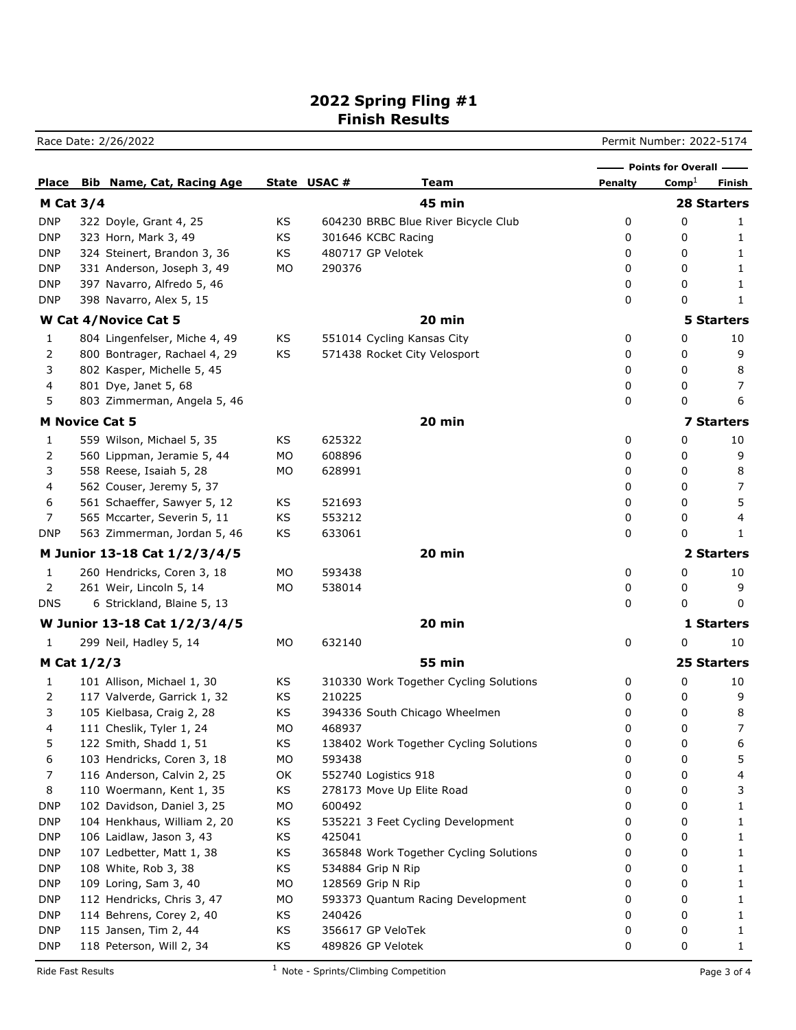Race Date: 2/26/2022 **Permit Number: 2022-5174** 

|                       |                                  |    |             |                                        |                | <b>Points for Overall -</b> |                    |
|-----------------------|----------------------------------|----|-------------|----------------------------------------|----------------|-----------------------------|--------------------|
| Place                 | <b>Bib Name, Cat, Racing Age</b> |    | State USAC# | Team                                   | <b>Penalty</b> | $Comp^{\perp}$              | Finish             |
| M Cat $3/4$           |                                  |    |             | <b>45 min</b>                          |                |                             | <b>28 Starters</b> |
| <b>DNP</b>            | 322 Doyle, Grant 4, 25           | KS |             | 604230 BRBC Blue River Bicycle Club    | 0              | 0                           | 1                  |
| DNP                   | 323 Horn, Mark 3, 49             | KS |             | 301646 KCBC Racing                     | 0              | 0                           | 1                  |
| DNP                   | 324 Steinert, Brandon 3, 36      | KS |             | 480717 GP Velotek                      | 0              | 0                           | 1                  |
| DNP                   | 331 Anderson, Joseph 3, 49       | МO | 290376      |                                        | 0              | 0                           | 1                  |
| DNP                   | 397 Navarro, Alfredo 5, 46       |    |             |                                        | 0              | 0                           | 1                  |
| <b>DNP</b>            | 398 Navarro, Alex 5, 15          |    |             |                                        | 0              | 0                           | 1                  |
|                       | W Cat 4/Novice Cat 5             |    |             | $20$ min                               |                |                             | <b>5 Starters</b>  |
| 1                     | 804 Lingenfelser, Miche 4, 49    | KS |             | 551014 Cycling Kansas City             | 0              | 0                           | 10                 |
| 2                     | 800 Bontrager, Rachael 4, 29     | KS |             | 571438 Rocket City Velosport           | 0              | 0                           | 9                  |
| 3                     | 802 Kasper, Michelle 5, 45       |    |             |                                        | 0              | 0                           | 8                  |
| 4                     | 801 Dye, Janet 5, 68             |    |             |                                        | 0              | 0                           | 7                  |
| 5                     | 803 Zimmerman, Angela 5, 46      |    |             |                                        | 0              | 0                           | 6                  |
| <b>M Novice Cat 5</b> |                                  |    |             | 20 min                                 |                |                             | <b>7 Starters</b>  |
| 1                     | 559 Wilson, Michael 5, 35        | ΚS | 625322      |                                        | 0              | 0                           | 10                 |
| 2                     | 560 Lippman, Jeramie 5, 44       | МO | 608896      |                                        | 0              | 0                           | 9                  |
| 3                     | 558 Reese, Isaiah 5, 28          | МO | 628991      |                                        | 0              | 0                           | 8                  |
| 4                     | 562 Couser, Jeremy 5, 37         |    |             |                                        | 0              | 0                           | 7                  |
| 6                     | 561 Schaeffer, Sawyer 5, 12      | KS | 521693      |                                        | 0              | 0                           | 5                  |
| 7                     | 565 Mccarter, Severin 5, 11      | KS | 553212      |                                        | 0              | 0                           | 4                  |
| <b>DNP</b>            | 563 Zimmerman, Jordan 5, 46      | KS | 633061      |                                        | 0              | 0                           | 1                  |
|                       | M Junior 13-18 Cat 1/2/3/4/5     |    |             | 20 min                                 |                |                             | <b>2 Starters</b>  |
| $\mathbf{1}$          | 260 Hendricks, Coren 3, 18       | МO | 593438      |                                        | 0              | 0                           | 10                 |
| 2                     | 261 Weir, Lincoln 5, 14          | МO | 538014      |                                        | 0              | 0                           | 9                  |
| <b>DNS</b>            | 6 Strickland, Blaine 5, 13       |    |             |                                        | 0              | 0                           | 0                  |
|                       | W Junior 13-18 Cat 1/2/3/4/5     |    |             | 20 min                                 |                |                             | 1 Starters         |
| 1                     | 299 Neil, Hadley 5, 14           | МO | 632140      |                                        | 0              | 0                           | 10                 |
| M Cat $1/2/3$         |                                  |    |             | 55 min                                 |                |                             | <b>25 Starters</b> |
| 1                     | 101 Allison, Michael 1, 30       | ΚS |             | 310330 Work Together Cycling Solutions | 0              | 0                           | 10                 |
| 2                     | 117 Valverde, Garrick 1, 32      | KS | 210225      |                                        | 0              | 0                           | 9                  |
| 3                     | 105 Kielbasa, Craig 2, 28        | KS |             | 394336 South Chicago Wheelmen          | 0              | 0                           | 8                  |
| 4                     | 111 Cheslik, Tyler 1, 24         | МO | 468937      |                                        | 0              | 0                           | 7                  |
| 5                     | 122 Smith, Shadd 1, 51           | ΚS |             | 138402 Work Together Cycling Solutions | 0              | 0                           | 6                  |
| 6                     | 103 Hendricks, Coren 3, 18       | MO | 593438      |                                        | 0              | 0                           | 5                  |
| 7                     | 116 Anderson, Calvin 2, 25       | OK |             | 552740 Logistics 918                   | 0              | 0                           | 4                  |
| 8                     | 110 Woermann, Kent 1, 35         | KS |             | 278173 Move Up Elite Road              | 0              | 0                           | 3                  |
| <b>DNP</b>            | 102 Davidson, Daniel 3, 25       | MO | 600492      |                                        | 0              | 0                           | 1                  |
| <b>DNP</b>            | 104 Henkhaus, William 2, 20      | ΚS |             | 535221 3 Feet Cycling Development      | 0              | 0                           | 1                  |
| <b>DNP</b>            | 106 Laidlaw, Jason 3, 43         | ΚS | 425041      |                                        | 0              | 0                           | 1                  |
| <b>DNP</b>            | 107 Ledbetter, Matt 1, 38        | ΚS |             | 365848 Work Together Cycling Solutions | 0              | 0                           | 1                  |
| <b>DNP</b>            | 108 White, Rob 3, 38             | ΚS |             | 534884 Grip N Rip                      | 0              | 0                           | 1                  |
| <b>DNP</b>            | 109 Loring, Sam 3, 40            | MO |             | 128569 Grip N Rip                      | 0              | 0                           | 1                  |
| <b>DNP</b>            | 112 Hendricks, Chris 3, 47       | MO |             | 593373 Quantum Racing Development      | 0              | 0                           | 1                  |
| <b>DNP</b>            | 114 Behrens, Corey 2, 40         | ΚS | 240426      |                                        | 0              | 0                           | 1                  |
| <b>DNP</b>            | 115 Jansen, Tim 2, 44            | KS |             | 356617 GP VeloTek                      | 0              | 0                           | 1                  |
| <b>DNP</b>            | 118 Peterson, Will 2, 34         | KS |             | 489826 GP Velotek                      | 0              | 0                           | 1                  |